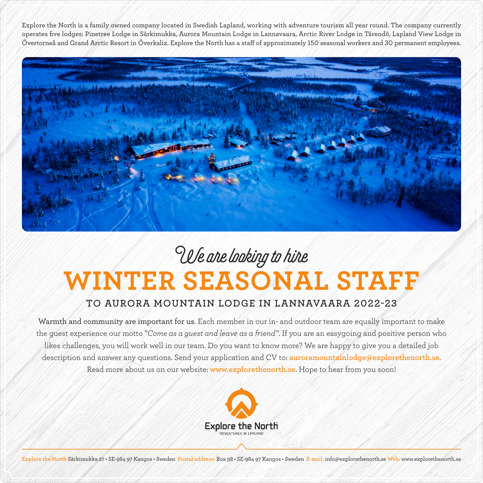Explore the North is a family owned company located in Swedish Lapland, working with adventure tourism all year round. The company currently operates five lodges: Pinetree Lodge in Särkimukka, Aurora Mountain Lodge in Lannavaara, Arctic River Lodge in Tärendö, Lapland View Lodge in Övertorneå and Grand Arctic Resort in Överkalix. Explore the North has a staff of approximately 150 seasonal workers and 30 permanent employees.



## **WINTER SEASONAL STAFF** We are looking to hire

## **TO AURORA MOUNTAIN LODGE IN LANNAVAARA 2022-23**

Warmth and community are important for us. Each member in our in- and outdoor team are equally important to make the guest experience our motto "*Come as a guest and leave as a friend"*. If you are an easygoing and positive person who likes challenges, you will work well in our team. Do you want to know more? We are happy to give you a detailed job description and answer any questions. Send your application and CV to: **auroramountainlodge@explorethenorth.se**. Read more about us on our website: **www.explorethenorth.se**. Hope to hear from you soon!